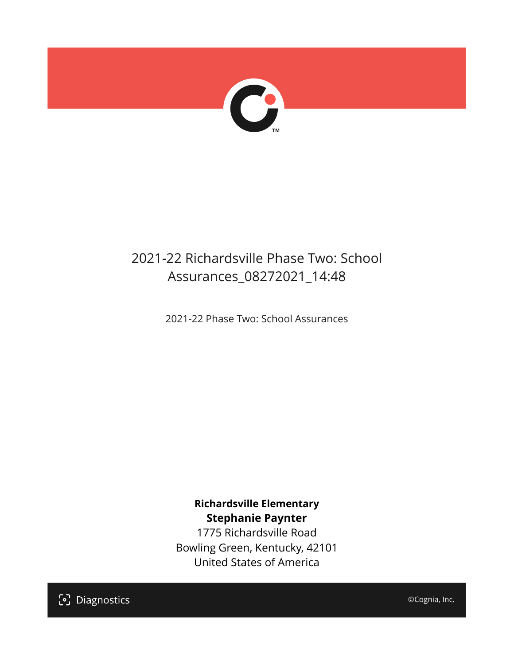

# 2021-22 Richardsville Phase Two: School Assurances\_08272021\_14:48

2021-22 Phase Two: School Assurances

**Richardsville Elementary Stephanie Paynter**

1775 Richardsville Road Bowling Green, Kentucky, 42101 United States of America

[၁] Diagnostics

©Cognia, Inc.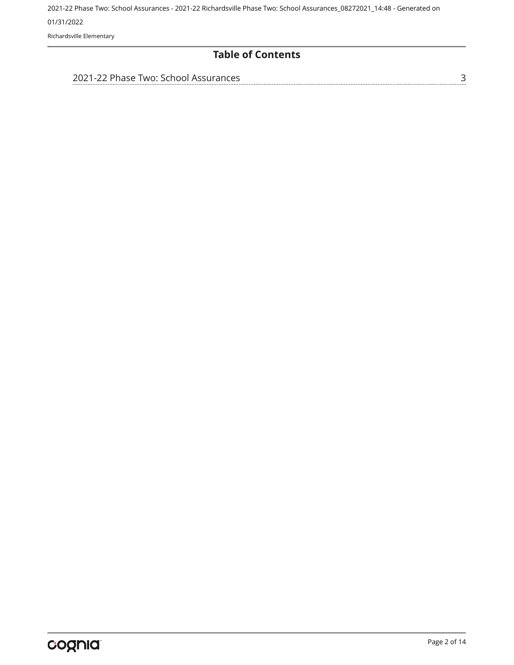Richardsville Elementary

#### **Table of Contents**

| 2021-22 Phase Two: School Assurances |  |
|--------------------------------------|--|
|                                      |  |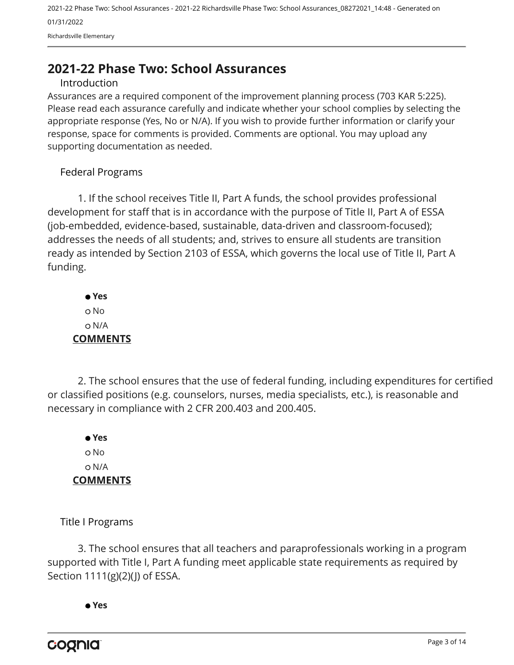# <span id="page-2-0"></span>**2021-22 Phase Two: School Assurances**

#### Introduction

Assurances are a required component of the improvement planning process (703 KAR 5:225). Please read each assurance carefully and indicate whether your school complies by selecting the appropriate response (Yes, No or N/A). If you wish to provide further information or clarify your response, space for comments is provided. Comments are optional. You may upload any supporting documentation as needed.

#### Federal Programs

1. If the school receives Title II, Part A funds, the school provides professional development for staff that is in accordance with the purpose of Title II, Part A of ESSA (job-embedded, evidence-based, sustainable, data-driven and classroom-focused); addresses the needs of all students; and, strives to ensure all students are transition ready as intended by Section 2103 of ESSA, which governs the local use of Title II, Part A funding.

 **Yes** o No N/A **COMMENTS**

2. The school ensures that the use of federal funding, including expenditures for certified or classified positions (e.g. counselors, nurses, media specialists, etc.), is reasonable and necessary in compliance with 2 CFR 200.403 and 200.405.

 **Yes** o No N/A **COMMENTS**

Title I Programs

3. The school ensures that all teachers and paraprofessionals working in a program supported with Title I, Part A funding meet applicable state requirements as required by Section 1111(g)(2)(J) of ESSA.

 **Yes**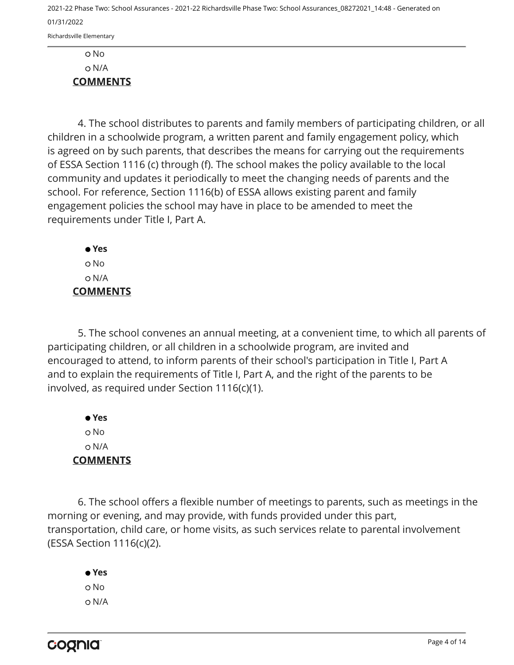N/A **COMMENTS**

4. The school distributes to parents and family members of participating children, or all children in a schoolwide program, a written parent and family engagement policy, which is agreed on by such parents, that describes the means for carrying out the requirements of ESSA Section 1116 (c) through (f). The school makes the policy available to the local community and updates it periodically to meet the changing needs of parents and the school. For reference, Section 1116(b) of ESSA allows existing parent and family engagement policies the school may have in place to be amended to meet the requirements under Title I, Part A.

 **Yes** No N/A **COMMENTS**

5. The school convenes an annual meeting, at a convenient time, to which all parents of participating children, or all children in a schoolwide program, are invited and encouraged to attend, to inform parents of their school's participation in Title I, Part A and to explain the requirements of Title I, Part A, and the right of the parents to be involved, as required under Section 1116(c)(1).

 **Yes** o No N/A **COMMENTS**

6. The school offers a flexible number of meetings to parents, such as meetings in the morning or evening, and may provide, with funds provided under this part, transportation, child care, or home visits, as such services relate to parental involvement (ESSA Section 1116(c)(2).

 **Yes** o No N/A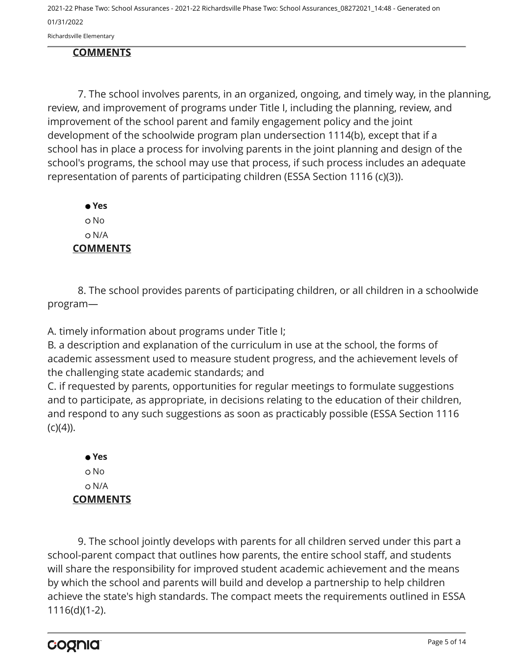Richardsville Elementary

#### **COMMENTS**

7. The school involves parents, in an organized, ongoing, and timely way, in the planning, review, and improvement of programs under Title I, including the planning, review, and improvement of the school parent and family engagement policy and the joint development of the schoolwide program plan undersection 1114(b), except that if a school has in place a process for involving parents in the joint planning and design of the school's programs, the school may use that process, if such process includes an adequate representation of parents of participating children (ESSA Section 1116 (c)(3)).

 **Yes** o No N/A **COMMENTS**

8. The school provides parents of participating children, or all children in a schoolwide program—

A. timely information about programs under Title I;

B. a description and explanation of the curriculum in use at the school, the forms of academic assessment used to measure student progress, and the achievement levels of the challenging state academic standards; and

C. if requested by parents, opportunities for regular meetings to formulate suggestions and to participate, as appropriate, in decisions relating to the education of their children, and respond to any such suggestions as soon as practicably possible (ESSA Section 1116  $(c)(4)$ ).

 **Yes** o No N/A **COMMENTS**

9. The school jointly develops with parents for all children served under this part a school-parent compact that outlines how parents, the entire school staff, and students will share the responsibility for improved student academic achievement and the means by which the school and parents will build and develop a partnership to help children achieve the state's high standards. The compact meets the requirements outlined in ESSA 1116(d)(1-2).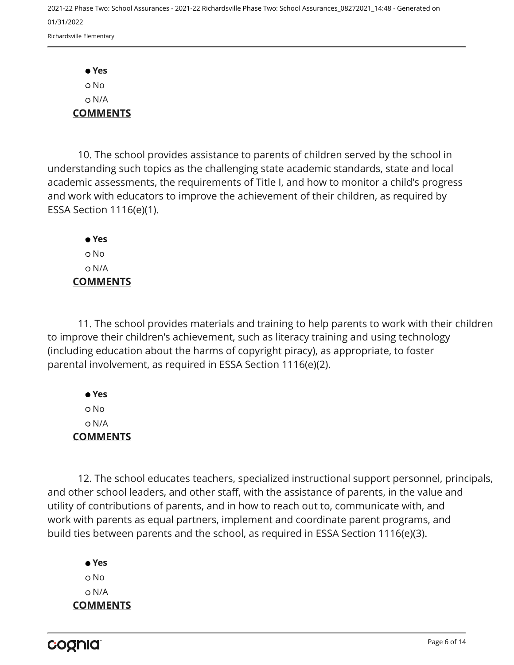**Yes** No N/A **COMMENTS**

10. The school provides assistance to parents of children served by the school in understanding such topics as the challenging state academic standards, state and local academic assessments, the requirements of Title I, and how to monitor a child's progress and work with educators to improve the achievement of their children, as required by ESSA Section 1116(e)(1).

 **Yes** o No N/A **COMMENTS**

11. The school provides materials and training to help parents to work with their children to improve their children's achievement, such as literacy training and using technology (including education about the harms of copyright piracy), as appropriate, to foster parental involvement, as required in ESSA Section 1116(e)(2).

 **Yes** No N/A **COMMENTS**

12. The school educates teachers, specialized instructional support personnel, principals, and other school leaders, and other staff, with the assistance of parents, in the value and utility of contributions of parents, and in how to reach out to, communicate with, and work with parents as equal partners, implement and coordinate parent programs, and build ties between parents and the school, as required in ESSA Section 1116(e)(3).

 **Yes** o No N/A **COMMENTS**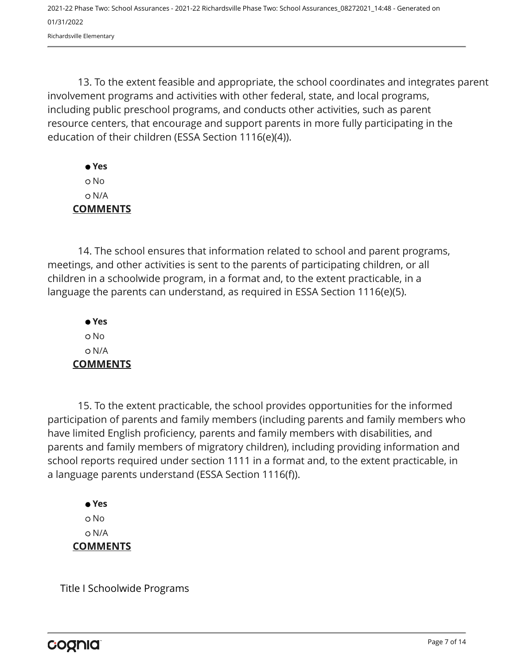13. To the extent feasible and appropriate, the school coordinates and integrates parent involvement programs and activities with other federal, state, and local programs, including public preschool programs, and conducts other activities, such as parent resource centers, that encourage and support parents in more fully participating in the education of their children (ESSA Section 1116(e)(4)).

 **Yes** No N/A **COMMENTS**

14. The school ensures that information related to school and parent programs, meetings, and other activities is sent to the parents of participating children, or all children in a schoolwide program, in a format and, to the extent practicable, in a language the parents can understand, as required in ESSA Section 1116(e)(5).

 **Yes** o No N/A **COMMENTS**

15. To the extent practicable, the school provides opportunities for the informed participation of parents and family members (including parents and family members who have limited English proficiency, parents and family members with disabilities, and parents and family members of migratory children), including providing information and school reports required under section 1111 in a format and, to the extent practicable, in a language parents understand (ESSA Section 1116(f)).

 **Yes** o No N/A **COMMENTS**

Title I Schoolwide Programs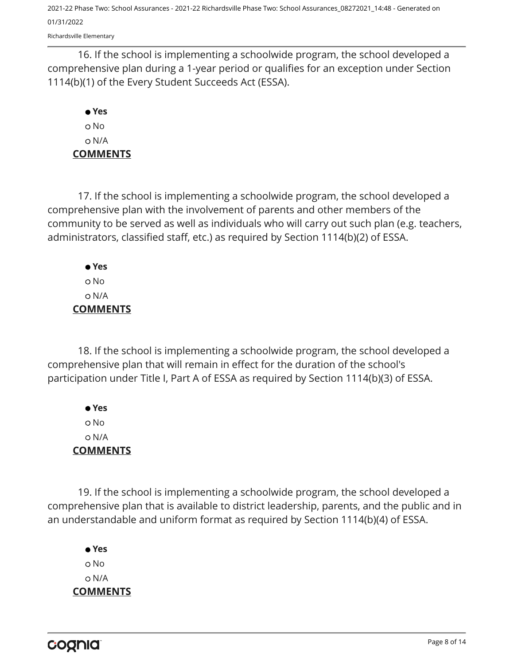Richardsville Elementary

16. If the school is implementing a schoolwide program, the school developed a comprehensive plan during a 1-year period or qualifies for an exception under Section 1114(b)(1) of the Every Student Succeeds Act (ESSA).

### **Yes** No N/A **COMMENTS**

17. If the school is implementing a schoolwide program, the school developed a comprehensive plan with the involvement of parents and other members of the community to be served as well as individuals who will carry out such plan (e.g. teachers, administrators, classified staff, etc.) as required by Section 1114(b)(2) of ESSA.

 **Yes** No N/A **COMMENTS**

18. If the school is implementing a schoolwide program, the school developed a comprehensive plan that will remain in effect for the duration of the school's participation under Title I, Part A of ESSA as required by Section 1114(b)(3) of ESSA.

 **Yes** No N/A **COMMENTS**

19. If the school is implementing a schoolwide program, the school developed a comprehensive plan that is available to district leadership, parents, and the public and in an understandable and uniform format as required by Section 1114(b)(4) of ESSA.

 **Yes** o No N/A **COMMENTS**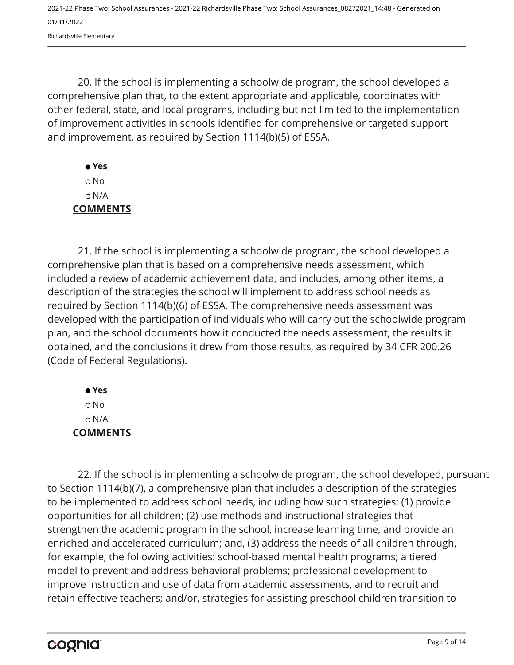20. If the school is implementing a schoolwide program, the school developed a comprehensive plan that, to the extent appropriate and applicable, coordinates with other federal, state, and local programs, including but not limited to the implementation of improvement activities in schools identified for comprehensive or targeted support and improvement, as required by Section 1114(b)(5) of ESSA.

## **Yes** No N/A **COMMENTS**

21. If the school is implementing a schoolwide program, the school developed a comprehensive plan that is based on a comprehensive needs assessment, which included a review of academic achievement data, and includes, among other items, a description of the strategies the school will implement to address school needs as required by Section 1114(b)(6) of ESSA. The comprehensive needs assessment was developed with the participation of individuals who will carry out the schoolwide program plan, and the school documents how it conducted the needs assessment, the results it obtained, and the conclusions it drew from those results, as required by 34 CFR 200.26 (Code of Federal Regulations).

 **Yes** No N/A **COMMENTS**

22. If the school is implementing a schoolwide program, the school developed, pursuant to Section 1114(b)(7), a comprehensive plan that includes a description of the strategies to be implemented to address school needs, including how such strategies: (1) provide opportunities for all children; (2) use methods and instructional strategies that strengthen the academic program in the school, increase learning time, and provide an enriched and accelerated curriculum; and, (3) address the needs of all children through, for example, the following activities: school-based mental health programs; a tiered model to prevent and address behavioral problems; professional development to improve instruction and use of data from academic assessments, and to recruit and retain effective teachers; and/or, strategies for assisting preschool children transition to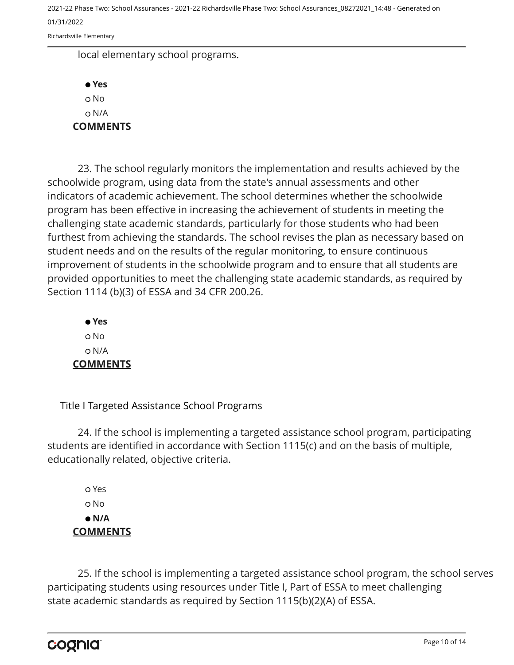Richardsville Elementary

local elementary school programs.

 **Yes** o No N/A **COMMENTS**

23. The school regularly monitors the implementation and results achieved by the schoolwide program, using data from the state's annual assessments and other indicators of academic achievement. The school determines whether the schoolwide program has been effective in increasing the achievement of students in meeting the challenging state academic standards, particularly for those students who had been furthest from achieving the standards. The school revises the plan as necessary based on student needs and on the results of the regular monitoring, to ensure continuous improvement of students in the schoolwide program and to ensure that all students are provided opportunities to meet the challenging state academic standards, as required by Section 1114 (b)(3) of ESSA and 34 CFR 200.26.

 **Yes** o No N/A **COMMENTS**

Title I Targeted Assistance School Programs

24. If the school is implementing a targeted assistance school program, participating students are identified in accordance with Section 1115(c) and on the basis of multiple, educationally related, objective criteria.

 Yes o No  **N/A COMMENTS**

25. If the school is implementing a targeted assistance school program, the school serves participating students using resources under Title I, Part of ESSA to meet challenging state academic standards as required by Section 1115(b)(2)(A) of ESSA.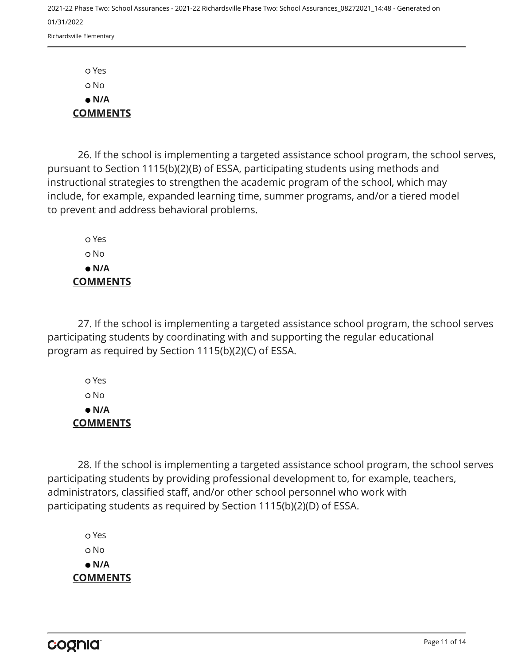Yes No  **N/A COMMENTS**

26. If the school is implementing a targeted assistance school program, the school serves, pursuant to Section 1115(b)(2)(B) of ESSA, participating students using methods and instructional strategies to strengthen the academic program of the school, which may include, for example, expanded learning time, summer programs, and/or a tiered model to prevent and address behavioral problems.

 Yes o No  **N/A COMMENTS**

27. If the school is implementing a targeted assistance school program, the school serves participating students by coordinating with and supporting the regular educational program as required by Section 1115(b)(2)(C) of ESSA.

 Yes No  **N/A COMMENTS**

28. If the school is implementing a targeted assistance school program, the school serves participating students by providing professional development to, for example, teachers, administrators, classified staff, and/or other school personnel who work with participating students as required by Section 1115(b)(2)(D) of ESSA.

 Yes o No  **N/A COMMENTS**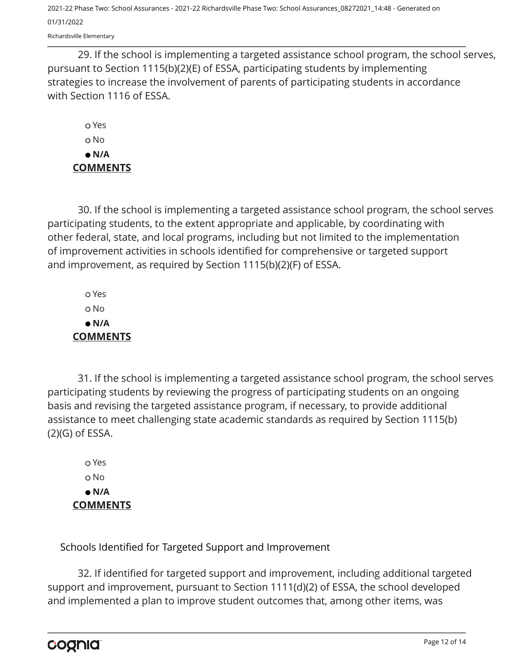Richardsville Elementary

29. If the school is implementing a targeted assistance school program, the school serves, pursuant to Section 1115(b)(2)(E) of ESSA, participating students by implementing strategies to increase the involvement of parents of participating students in accordance with Section 1116 of ESSA.

 Yes o No  **N/A COMMENTS**

30. If the school is implementing a targeted assistance school program, the school serves participating students, to the extent appropriate and applicable, by coordinating with other federal, state, and local programs, including but not limited to the implementation of improvement activities in schools identified for comprehensive or targeted support and improvement, as required by Section 1115(b)(2)(F) of ESSA.

 Yes o No  **N/A COMMENTS**

31. If the school is implementing a targeted assistance school program, the school serves participating students by reviewing the progress of participating students on an ongoing basis and revising the targeted assistance program, if necessary, to provide additional assistance to meet challenging state academic standards as required by Section 1115(b) (2)(G) of ESSA.

 Yes o No  **N/A COMMENTS**

Schools Identified for Targeted Support and Improvement

32. If identified for targeted support and improvement, including additional targeted support and improvement, pursuant to Section 1111(d)(2) of ESSA, the school developed and implemented a plan to improve student outcomes that, among other items, was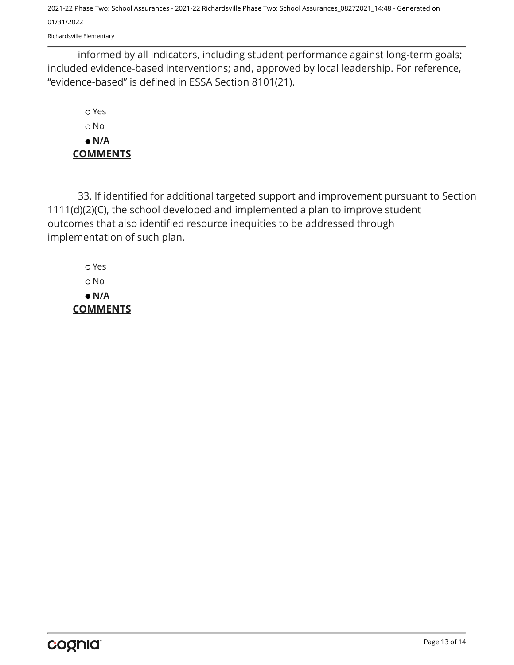Richardsville Elementary

informed by all indicators, including student performance against long-term goals; included evidence-based interventions; and, approved by local leadership. For reference, "evidence-based" is defined in ESSA Section 8101(21).

 Yes o No  **N/A COMMENTS**

33. If identified for additional targeted support and improvement pursuant to Section 1111(d)(2)(C), the school developed and implemented a plan to improve student outcomes that also identified resource inequities to be addressed through implementation of such plan.

 Yes No  **N/A COMMENTS**